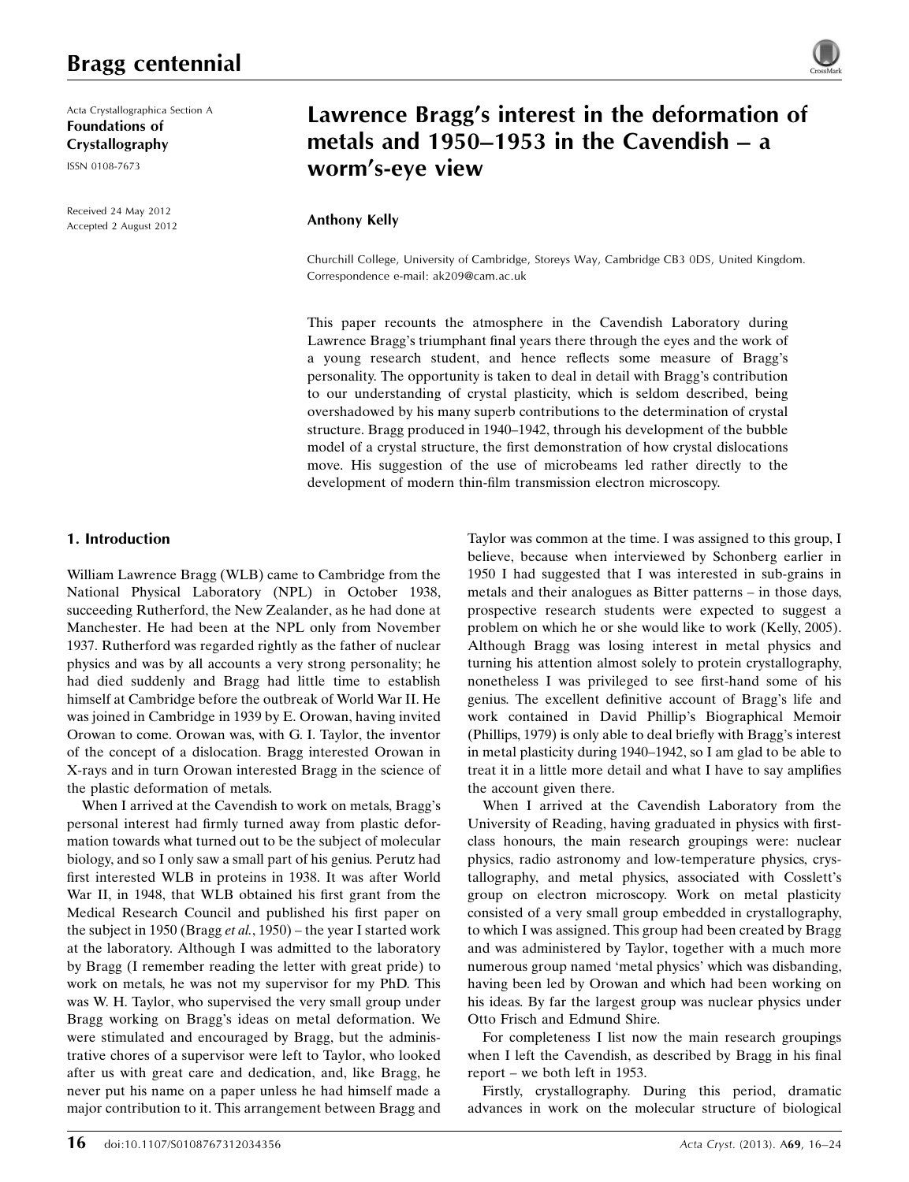Acta Crystallographica Section A Foundations of Crystallography ISSN 0108-7673

Received 24 May 2012 Accepted 2 August 2012

# Lawrence Bragg's interest in the deformation of metals and 1950–1953 in the Cavendish – a worm's-eye view

## Anthony Kelly

Churchill College, University of Cambridge, Storeys Way, Cambridge CB3 0DS, United Kingdom. Correspondence e-mail: [ak209@cam.ac.uk](http://scripts.iucr.org/cgi-bin/cr.cgi?rm=pdfbb&cnor=wl5165&bbid=BB45)

This paper recounts the atmosphere in the Cavendish Laboratory during Lawrence Bragg's triumphant final years there through the eyes and the work of a young research student, and hence reflects some measure of Bragg's personality. The opportunity is taken to deal in detail with Bragg's contribution to our understanding of crystal plasticity, which is seldom described, being overshadowed by his many superb contributions to the determination of crystal structure. Bragg produced in 1940–1942, through his development of the bubble model of a crystal structure, the first demonstration of how crystal dislocations move. His suggestion of the use of microbeams led rather directly to the development of modern thin-film transmission electron microscopy.

## 1. Introduction

William Lawrence Bragg (WLB) came to Cambridge from the National Physical Laboratory (NPL) in October 1938, succeeding Rutherford, the New Zealander, as he had done at Manchester. He had been at the NPL only from November 1937. Rutherford was regarded rightly as the father of nuclear physics and was by all accounts a very strong personality; he had died suddenly and Bragg had little time to establish himself at Cambridge before the outbreak of World War II. He was joined in Cambridge in 1939 by E. Orowan, having invited Orowan to come. Orowan was, with G. I. Taylor, the inventor of the concept of a dislocation. Bragg interested Orowan in X-rays and in turn Orowan interested Bragg in the science of the plastic deformation of metals.

When I arrived at the Cavendish to work on metals, Bragg's personal interest had firmly turned away from plastic deformation towards what turned out to be the subject of molecular biology, and so I only saw a small part of his genius. Perutz had first interested WLB in proteins in 1938. It was after World War II, in 1948, that WLB obtained his first grant from the Medical Research Council and published his first paper on the subject in 1950 (Bragg et al., 1950) – the year I started work at the laboratory. Although I was admitted to the laboratory by Bragg (I remember reading the letter with great pride) to work on metals, he was not my supervisor for my PhD. This was W. H. Taylor, who supervised the very small group under Bragg working on Bragg's ideas on metal deformation. We were stimulated and encouraged by Bragg, but the administrative chores of a supervisor were left to Taylor, who looked after us with great care and dedication, and, like Bragg, he never put his name on a paper unless he had himself made a major contribution to it. This arrangement between Bragg and Taylor was common at the time. I was assigned to this group, I believe, because when interviewed by Schonberg earlier in 1950 I had suggested that I was interested in sub-grains in metals and their analogues as Bitter patterns – in those days, prospective research students were expected to suggest a problem on which he or she would like to work (Kelly, 2005). Although Bragg was losing interest in metal physics and turning his attention almost solely to protein crystallography, nonetheless I was privileged to see first-hand some of his genius. The excellent definitive account of Bragg's life and work contained in David Phillip's Biographical Memoir (Phillips, 1979) is only able to deal briefly with Bragg's interest in metal plasticity during 1940–1942, so I am glad to be able to treat it in a little more detail and what I have to say amplifies the account given there.

When I arrived at the Cavendish Laboratory from the University of Reading, having graduated in physics with firstclass honours, the main research groupings were: nuclear physics, radio astronomy and low-temperature physics, crystallography, and metal physics, associated with Cosslett's group on electron microscopy. Work on metal plasticity consisted of a very small group embedded in crystallography, to which I was assigned. This group had been created by Bragg and was administered by Taylor, together with a much more numerous group named 'metal physics' which was disbanding, having been led by Orowan and which had been working on his ideas. By far the largest group was nuclear physics under Otto Frisch and Edmund Shire.

For completeness I list now the main research groupings when I left the Cavendish, as described by Bragg in his final report – we both left in 1953.

Firstly, crystallography. During this period, dramatic advances in work on the molecular structure of biological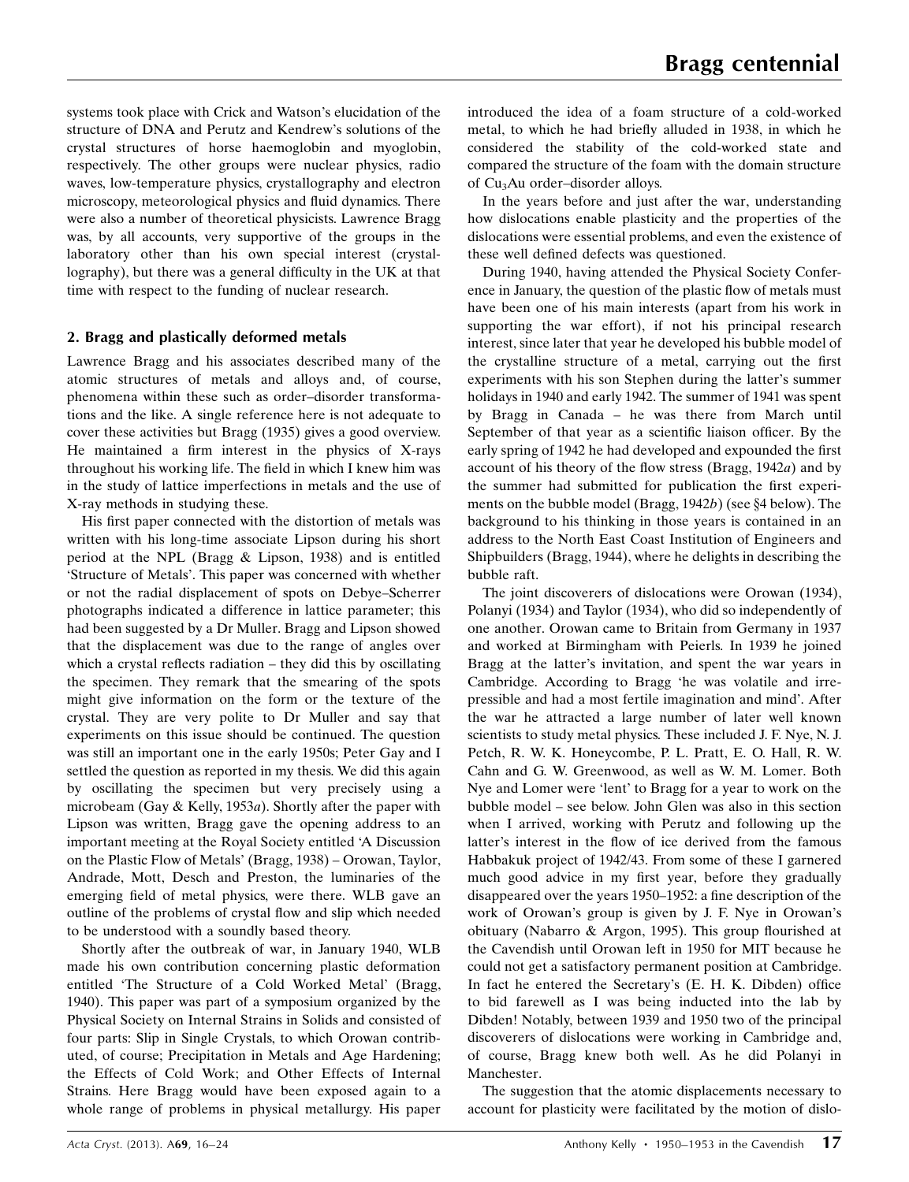systems took place with Crick and Watson's elucidation of the structure of DNA and Perutz and Kendrew's solutions of the crystal structures of horse haemoglobin and myoglobin, respectively. The other groups were nuclear physics, radio waves, low-temperature physics, crystallography and electron microscopy, meteorological physics and fluid dynamics. There were also a number of theoretical physicists. Lawrence Bragg was, by all accounts, very supportive of the groups in the laboratory other than his own special interest (crystallography), but there was a general difficulty in the UK at that time with respect to the funding of nuclear research.

# 2. Bragg and plastically deformed metals

Lawrence Bragg and his associates described many of the atomic structures of metals and alloys and, of course, phenomena within these such as order–disorder transformations and the like. A single reference here is not adequate to cover these activities but Bragg (1935) gives a good overview. He maintained a firm interest in the physics of X-rays throughout his working life. The field in which I knew him was in the study of lattice imperfections in metals and the use of X-ray methods in studying these.

His first paper connected with the distortion of metals was written with his long-time associate Lipson during his short period at the NPL (Bragg & Lipson, 1938) and is entitled 'Structure of Metals'. This paper was concerned with whether or not the radial displacement of spots on Debye–Scherrer photographs indicated a difference in lattice parameter; this had been suggested by a Dr Muller. Bragg and Lipson showed that the displacement was due to the range of angles over which a crystal reflects radiation – they did this by oscillating the specimen. They remark that the smearing of the spots might give information on the form or the texture of the crystal. They are very polite to Dr Muller and say that experiments on this issue should be continued. The question was still an important one in the early 1950s; Peter Gay and I settled the question as reported in my thesis. We did this again by oscillating the specimen but very precisely using a microbeam (Gay & Kelly, 1953a). Shortly after the paper with Lipson was written, Bragg gave the opening address to an important meeting at the Royal Society entitled 'A Discussion on the Plastic Flow of Metals' (Bragg, 1938) – Orowan, Taylor, Andrade, Mott, Desch and Preston, the luminaries of the emerging field of metal physics, were there. WLB gave an outline of the problems of crystal flow and slip which needed to be understood with a soundly based theory.

Shortly after the outbreak of war, in January 1940, WLB made his own contribution concerning plastic deformation entitled 'The Structure of a Cold Worked Metal' (Bragg, 1940). This paper was part of a symposium organized by the Physical Society on Internal Strains in Solids and consisted of four parts: Slip in Single Crystals, to which Orowan contributed, of course; Precipitation in Metals and Age Hardening; the Effects of Cold Work; and Other Effects of Internal Strains. Here Bragg would have been exposed again to a whole range of problems in physical metallurgy. His paper introduced the idea of a foam structure of a cold-worked metal, to which he had briefly alluded in 1938, in which he considered the stability of the cold-worked state and compared the structure of the foam with the domain structure of Cu3Au order–disorder alloys.

In the years before and just after the war, understanding how dislocations enable plasticity and the properties of the dislocations were essential problems, and even the existence of these well defined defects was questioned.

During 1940, having attended the Physical Society Conference in January, the question of the plastic flow of metals must have been one of his main interests (apart from his work in supporting the war effort), if not his principal research interest, since later that year he developed his bubble model of the crystalline structure of a metal, carrying out the first experiments with his son Stephen during the latter's summer holidays in 1940 and early 1942. The summer of 1941 was spent by Bragg in Canada – he was there from March until September of that year as a scientific liaison officer. By the early spring of 1942 he had developed and expounded the first account of his theory of the flow stress (Bragg,  $1942a$ ) and by the summer had submitted for publication the first experiments on the bubble model (Bragg,  $1942b$ ) (see §4 below). The background to his thinking in those years is contained in an address to the North East Coast Institution of Engineers and Shipbuilders (Bragg, 1944), where he delights in describing the bubble raft.

The joint discoverers of dislocations were Orowan (1934), Polanyi (1934) and Taylor (1934), who did so independently of one another. Orowan came to Britain from Germany in 1937 and worked at Birmingham with Peierls. In 1939 he joined Bragg at the latter's invitation, and spent the war years in Cambridge. According to Bragg 'he was volatile and irrepressible and had a most fertile imagination and mind'. After the war he attracted a large number of later well known scientists to study metal physics. These included J. F. Nye, N. J. Petch, R. W. K. Honeycombe, P. L. Pratt, E. O. Hall, R. W. Cahn and G. W. Greenwood, as well as W. M. Lomer. Both Nye and Lomer were 'lent' to Bragg for a year to work on the bubble model – see below. John Glen was also in this section when I arrived, working with Perutz and following up the latter's interest in the flow of ice derived from the famous Habbakuk project of 1942/43. From some of these I garnered much good advice in my first year, before they gradually disappeared over the years 1950–1952: a fine description of the work of Orowan's group is given by J. F. Nye in Orowan's obituary (Nabarro & Argon, 1995). This group flourished at the Cavendish until Orowan left in 1950 for MIT because he could not get a satisfactory permanent position at Cambridge. In fact he entered the Secretary's (E. H. K. Dibden) office to bid farewell as I was being inducted into the lab by Dibden! Notably, between 1939 and 1950 two of the principal discoverers of dislocations were working in Cambridge and, of course, Bragg knew both well. As he did Polanyi in Manchester.

The suggestion that the atomic displacements necessary to account for plasticity were facilitated by the motion of dislo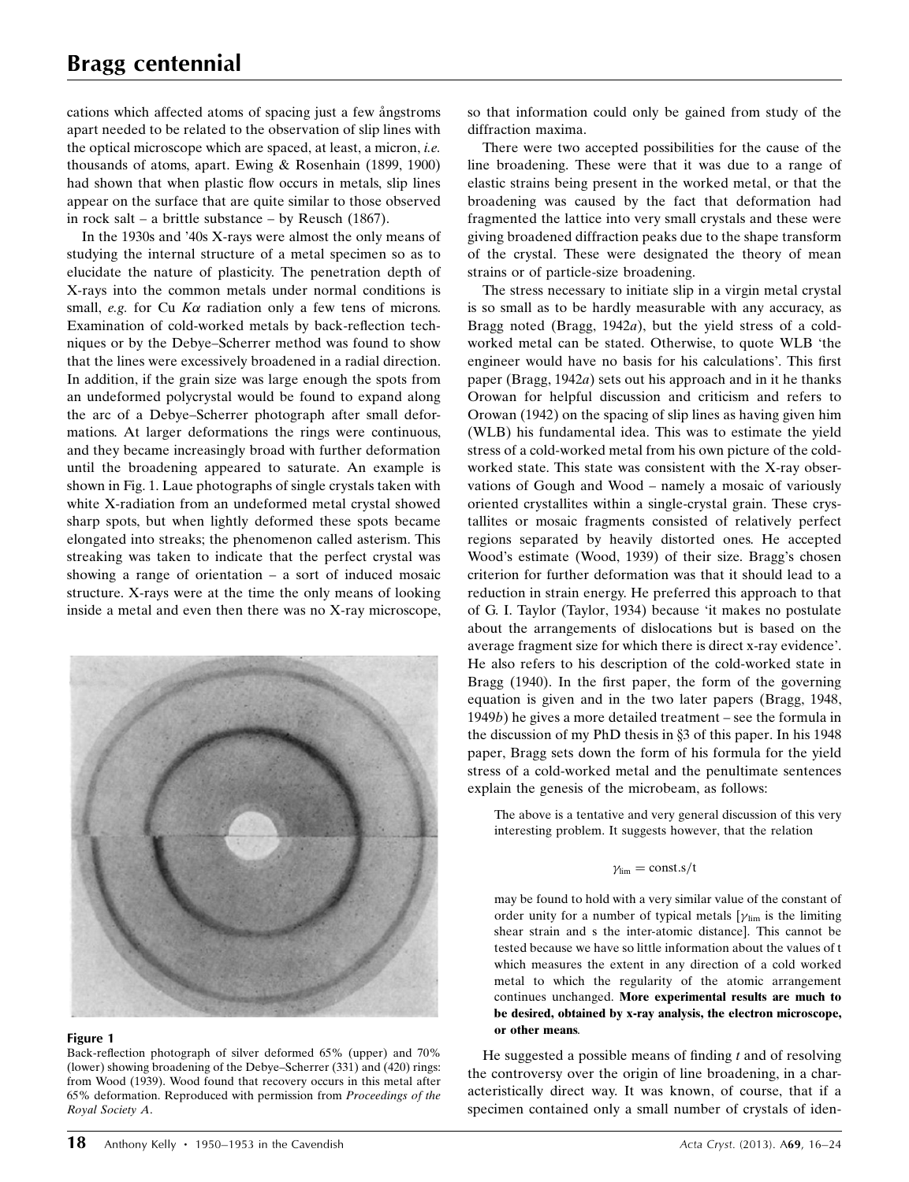cations which affected atoms of spacing just a few angestroms apart needed to be related to the observation of slip lines with the optical microscope which are spaced, at least, a micron, i.e. thousands of atoms, apart. Ewing & Rosenhain (1899, 1900) had shown that when plastic flow occurs in metals, slip lines appear on the surface that are quite similar to those observed in rock salt – a brittle substance – by Reusch (1867).

In the 1930s and '40s X-rays were almost the only means of studying the internal structure of a metal specimen so as to elucidate the nature of plasticity. The penetration depth of X-rays into the common metals under normal conditions is small, e.g. for Cu  $K\alpha$  radiation only a few tens of microns. Examination of cold-worked metals by back-reflection techniques or by the Debye–Scherrer method was found to show that the lines were excessively broadened in a radial direction. In addition, if the grain size was large enough the spots from an undeformed polycrystal would be found to expand along the arc of a Debye–Scherrer photograph after small deformations. At larger deformations the rings were continuous, and they became increasingly broad with further deformation until the broadening appeared to saturate. An example is shown in Fig. 1. Laue photographs of single crystals taken with white X-radiation from an undeformed metal crystal showed sharp spots, but when lightly deformed these spots became elongated into streaks; the phenomenon called asterism. This streaking was taken to indicate that the perfect crystal was showing a range of orientation – a sort of induced mosaic structure. X-rays were at the time the only means of looking inside a metal and even then there was no X-ray microscope,



#### Figure 1

Back-reflection photograph of silver deformed 65% (upper) and 70% (lower) showing broadening of the Debye–Scherrer (331) and (420) rings: from Wood (1939). Wood found that recovery occurs in this metal after 65% deformation. Reproduced with permission from Proceedings of the Royal Society A.

so that information could only be gained from study of the diffraction maxima.

There were two accepted possibilities for the cause of the line broadening. These were that it was due to a range of elastic strains being present in the worked metal, or that the broadening was caused by the fact that deformation had fragmented the lattice into very small crystals and these were giving broadened diffraction peaks due to the shape transform of the crystal. These were designated the theory of mean strains or of particle-size broadening.

The stress necessary to initiate slip in a virgin metal crystal is so small as to be hardly measurable with any accuracy, as Bragg noted (Bragg, 1942a), but the yield stress of a coldworked metal can be stated. Otherwise, to quote WLB 'the engineer would have no basis for his calculations'. This first paper (Bragg, 1942a) sets out his approach and in it he thanks Orowan for helpful discussion and criticism and refers to Orowan (1942) on the spacing of slip lines as having given him (WLB) his fundamental idea. This was to estimate the yield stress of a cold-worked metal from his own picture of the coldworked state. This state was consistent with the X-ray observations of Gough and Wood – namely a mosaic of variously oriented crystallites within a single-crystal grain. These crystallites or mosaic fragments consisted of relatively perfect regions separated by heavily distorted ones. He accepted Wood's estimate (Wood, 1939) of their size. Bragg's chosen criterion for further deformation was that it should lead to a reduction in strain energy. He preferred this approach to that of G. I. Taylor (Taylor, 1934) because 'it makes no postulate about the arrangements of dislocations but is based on the average fragment size for which there is direct x-ray evidence'. He also refers to his description of the cold-worked state in Bragg (1940). In the first paper, the form of the governing equation is given and in the two later papers (Bragg, 1948, 1949b) he gives a more detailed treatment – see the formula in the discussion of my PhD thesis in  $\S$ 3 of this paper. In his 1948 paper, Bragg sets down the form of his formula for the yield stress of a cold-worked metal and the penultimate sentences explain the genesis of the microbeam, as follows:

The above is a tentative and very general discussion of this very interesting problem. It suggests however, that the relation

#### $\gamma_{\text{lim}} = \text{const.s}/t$

may be found to hold with a very similar value of the constant of order unity for a number of typical metals  $[\gamma_{\text{lim}}]$  is the limiting shear strain and s the inter-atomic distance]. This cannot be tested because we have so little information about the values of t which measures the extent in any direction of a cold worked metal to which the regularity of the atomic arrangement continues unchanged. More experimental results are much to be desired, obtained by x-ray analysis, the electron microscope, or other means.

He suggested a possible means of finding  $t$  and of resolving the controversy over the origin of line broadening, in a characteristically direct way. It was known, of course, that if a specimen contained only a small number of crystals of iden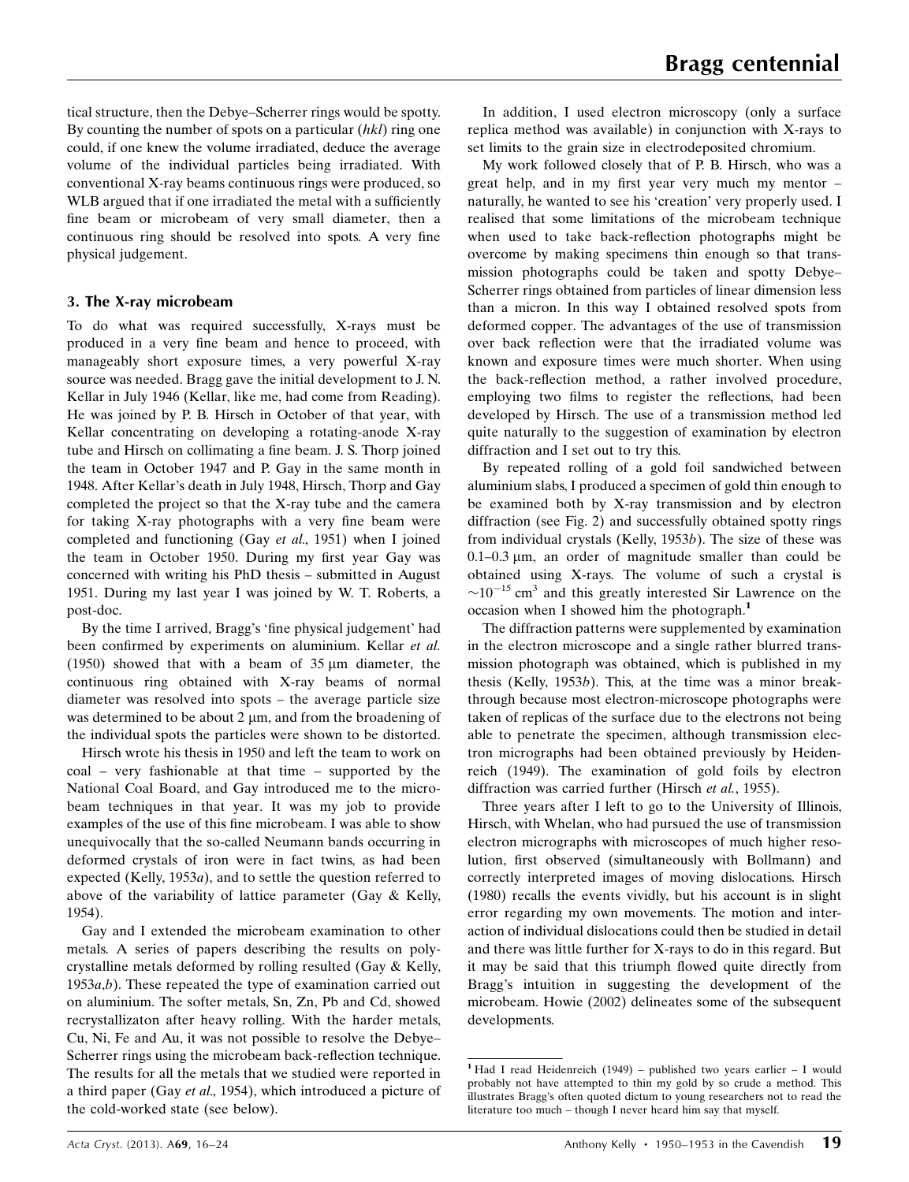tical structure, then the Debye–Scherrer rings would be spotty. By counting the number of spots on a particular  $(hkl)$  ring one could, if one knew the volume irradiated, deduce the average volume of the individual particles being irradiated. With conventional X-ray beams continuous rings were produced, so WLB argued that if one irradiated the metal with a sufficiently fine beam or microbeam of very small diameter, then a continuous ring should be resolved into spots. A very fine physical judgement.

# 3. The X-ray microbeam

To do what was required successfully, X-rays must be produced in a very fine beam and hence to proceed, with manageably short exposure times, a very powerful X-ray source was needed. Bragg gave the initial development to J. N. Kellar in July 1946 (Kellar, like me, had come from Reading). He was joined by P. B. Hirsch in October of that year, with Kellar concentrating on developing a rotating-anode X-ray tube and Hirsch on collimating a fine beam. J. S. Thorp joined the team in October 1947 and P. Gay in the same month in 1948. After Kellar's death in July 1948, Hirsch, Thorp and Gay completed the project so that the X-ray tube and the camera for taking X-ray photographs with a very fine beam were completed and functioning (Gay et al., 1951) when I joined the team in October 1950. During my first year Gay was concerned with writing his PhD thesis – submitted in August 1951. During my last year I was joined by W. T. Roberts, a post-doc.

By the time I arrived, Bragg's 'fine physical judgement' had been confirmed by experiments on aluminium. Kellar et al. (1950) showed that with a beam of  $35 \mu m$  diameter, the continuous ring obtained with X-ray beams of normal diameter was resolved into spots – the average particle size was determined to be about  $2 \mu m$ , and from the broadening of the individual spots the particles were shown to be distorted.

Hirsch wrote his thesis in 1950 and left the team to work on coal – very fashionable at that time – supported by the National Coal Board, and Gay introduced me to the microbeam techniques in that year. It was my job to provide examples of the use of this fine microbeam. I was able to show unequivocally that the so-called Neumann bands occurring in deformed crystals of iron were in fact twins, as had been expected (Kelly, 1953a), and to settle the question referred to above of the variability of lattice parameter (Gay & Kelly, 1954).

Gay and I extended the microbeam examination to other metals. A series of papers describing the results on polycrystalline metals deformed by rolling resulted (Gay & Kelly, 1953a,b). These repeated the type of examination carried out on aluminium. The softer metals, Sn, Zn, Pb and Cd, showed recrystallizaton after heavy rolling. With the harder metals, Cu, Ni, Fe and Au, it was not possible to resolve the Debye– Scherrer rings using the microbeam back-reflection technique. The results for all the metals that we studied were reported in a third paper (Gay et al., 1954), which introduced a picture of the cold-worked state (see below).

In addition, I used electron microscopy (only a surface replica method was available) in conjunction with X-rays to set limits to the grain size in electrodeposited chromium.

My work followed closely that of P. B. Hirsch, who was a great help, and in my first year very much my mentor – naturally, he wanted to see his 'creation' very properly used. I realised that some limitations of the microbeam technique when used to take back-reflection photographs might be overcome by making specimens thin enough so that transmission photographs could be taken and spotty Debye– Scherrer rings obtained from particles of linear dimension less than a micron. In this way I obtained resolved spots from deformed copper. The advantages of the use of transmission over back reflection were that the irradiated volume was known and exposure times were much shorter. When using the back-reflection method, a rather involved procedure, employing two films to register the reflections, had been developed by Hirsch. The use of a transmission method led quite naturally to the suggestion of examination by electron diffraction and I set out to try this.

By repeated rolling of a gold foil sandwiched between aluminium slabs, I produced a specimen of gold thin enough to be examined both by X-ray transmission and by electron diffraction (see Fig. 2) and successfully obtained spotty rings from individual crystals (Kelly, 1953b). The size of these was  $0.1-0.3 \mu$ m, an order of magnitude smaller than could be obtained using X-rays. The volume of such a crystal is  $\sim$ 10<sup>-15</sup> cm<sup>3</sup> and this greatly interested Sir Lawrence on the occasion when I showed him the photograph.<sup>1</sup>

The diffraction patterns were supplemented by examination in the electron microscope and a single rather blurred transmission photograph was obtained, which is published in my thesis (Kelly, 1953b). This, at the time was a minor breakthrough because most electron-microscope photographs were taken of replicas of the surface due to the electrons not being able to penetrate the specimen, although transmission electron micrographs had been obtained previously by Heidenreich (1949). The examination of gold foils by electron diffraction was carried further (Hirsch et al., 1955).

Three years after I left to go to the University of Illinois, Hirsch, with Whelan, who had pursued the use of transmission electron micrographs with microscopes of much higher resolution, first observed (simultaneously with Bollmann) and correctly interpreted images of moving dislocations. Hirsch (1980) recalls the events vividly, but his account is in slight error regarding my own movements. The motion and interaction of individual dislocations could then be studied in detail and there was little further for X-rays to do in this regard. But it may be said that this triumph flowed quite directly from Bragg's intuition in suggesting the development of the microbeam. Howie (2002) delineates some of the subsequent developments.

<sup>1</sup> Had I read Heidenreich (1949) – published two years earlier – I would probably not have attempted to thin my gold by so crude a method. This illustrates Bragg's often quoted dictum to young researchers not to read the literature too much – though I never heard him say that myself.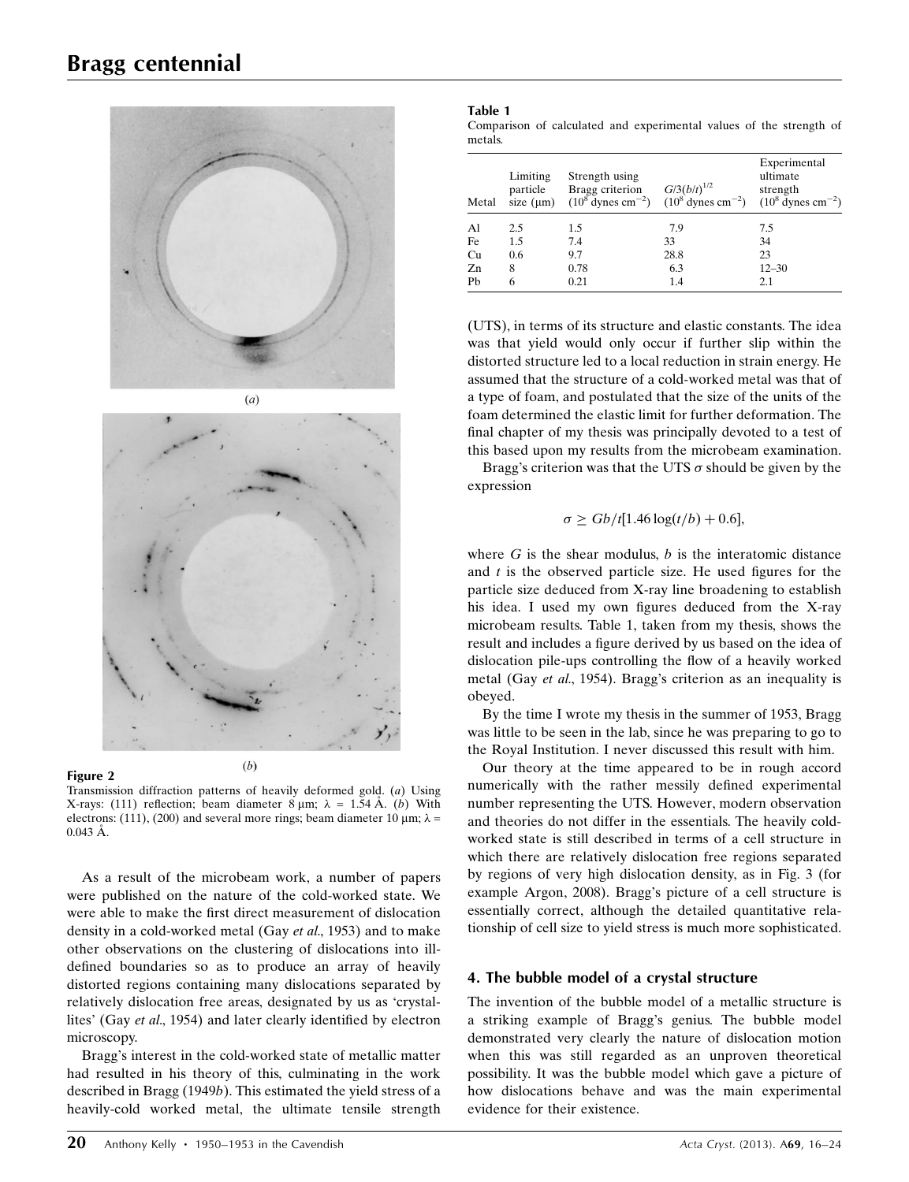



#### Figure 2

Transmission diffraction patterns of heavily deformed gold. (a) Using X-rays: (111) reflection; beam diameter  $8 \mu m$ ;  $\lambda = 1.54 \text{ Å}$ . (b) With electrons: (111), (200) and several more rings; beam diameter 10  $\mu$ m;  $\lambda$  =  $0.043 \text{ Å}.$ 

As a result of the microbeam work, a number of papers were published on the nature of the cold-worked state. We were able to make the first direct measurement of dislocation density in a cold-worked metal (Gay et al., 1953) and to make other observations on the clustering of dislocations into illdefined boundaries so as to produce an array of heavily distorted regions containing many dislocations separated by relatively dislocation free areas, designated by us as 'crystallites' (Gay et al., 1954) and later clearly identified by electron microscopy.

Bragg's interest in the cold-worked state of metallic matter had resulted in his theory of this, culminating in the work described in Bragg (1949b). This estimated the yield stress of a heavily-cold worked metal, the ultimate tensile strength

#### Table 1

|         |  | Comparison of calculated and experimental values of the strength of |  |  |  |
|---------|--|---------------------------------------------------------------------|--|--|--|
| metals. |  |                                                                     |  |  |  |

| Metal | Limiting<br>particle<br>size $(\mu m)$ | Strength using<br>Bragg criterion<br>$(10^8 \text{ dynes cm}^{-2})$ | $G/3(blt)^{1/2}$<br>$(10^8$ dynes cm <sup>-2</sup> ) | Experimental<br>ultimate<br>strength<br>$(10^8 \text{ dynes cm}^{-2})$ |
|-------|----------------------------------------|---------------------------------------------------------------------|------------------------------------------------------|------------------------------------------------------------------------|
| Al    | 2.5                                    | 1.5                                                                 | 7.9                                                  | 7.5                                                                    |
| Fe    | 1.5                                    | 7.4                                                                 | 33                                                   | 34                                                                     |
| Cu    | 0.6                                    | 9.7                                                                 | 28.8                                                 | 23                                                                     |
| Zn    | 8                                      | 0.78                                                                | 6.3                                                  | $12 - 30$                                                              |
| Ph    | 6                                      | 0.21                                                                | 1.4                                                  | 2.1                                                                    |

(UTS), in terms of its structure and elastic constants. The idea was that yield would only occur if further slip within the distorted structure led to a local reduction in strain energy. He assumed that the structure of a cold-worked metal was that of a type of foam, and postulated that the size of the units of the foam determined the elastic limit for further deformation. The final chapter of my thesis was principally devoted to a test of this based upon my results from the microbeam examination.

Bragg's criterion was that the UTS  $\sigma$  should be given by the expression

$$
\sigma \geq \frac{Gb}{t[1.46\log(t/b) + 0.6]},
$$

where  $G$  is the shear modulus,  $b$  is the interatomic distance and  $t$  is the observed particle size. He used figures for the particle size deduced from X-ray line broadening to establish his idea. I used my own figures deduced from the X-ray microbeam results. Table 1, taken from my thesis, shows the result and includes a figure derived by us based on the idea of dislocation pile-ups controlling the flow of a heavily worked metal (Gay et al., 1954). Bragg's criterion as an inequality is obeyed.

By the time I wrote my thesis in the summer of 1953, Bragg was little to be seen in the lab, since he was preparing to go to the Royal Institution. I never discussed this result with him.

Our theory at the time appeared to be in rough accord numerically with the rather messily defined experimental number representing the UTS. However, modern observation and theories do not differ in the essentials. The heavily coldworked state is still described in terms of a cell structure in which there are relatively dislocation free regions separated by regions of very high dislocation density, as in Fig. 3 (for example Argon, 2008). Bragg's picture of a cell structure is essentially correct, although the detailed quantitative relationship of cell size to yield stress is much more sophisticated.

#### 4. The bubble model of a crystal structure

The invention of the bubble model of a metallic structure is a striking example of Bragg's genius. The bubble model demonstrated very clearly the nature of dislocation motion when this was still regarded as an unproven theoretical possibility. It was the bubble model which gave a picture of how dislocations behave and was the main experimental evidence for their existence.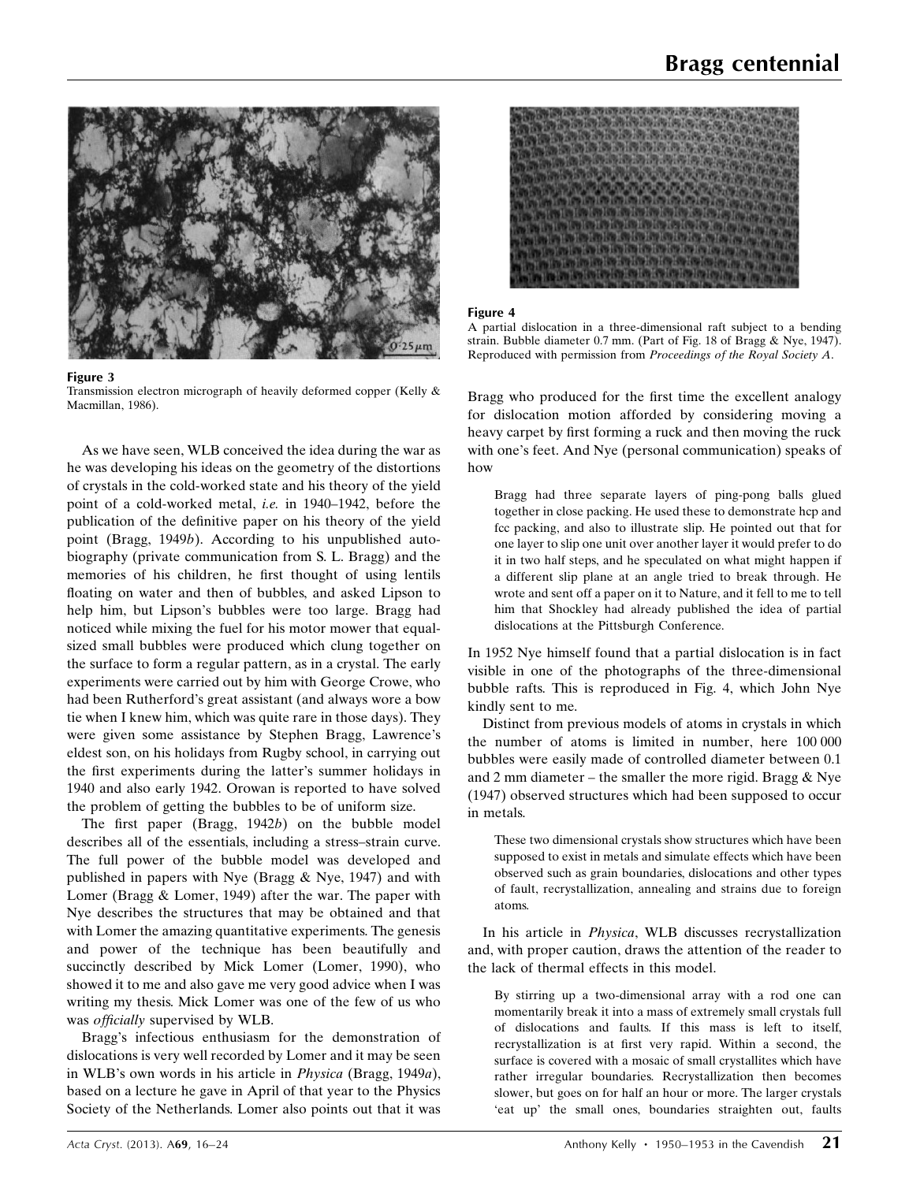

Figure 3 Transmission electron micrograph of heavily deformed copper (Kelly & Macmillan, 1986).

As we have seen, WLB conceived the idea during the war as he was developing his ideas on the geometry of the distortions of crystals in the cold-worked state and his theory of the yield point of a cold-worked metal, i.e. in 1940–1942, before the publication of the definitive paper on his theory of the yield point (Bragg, 1949b). According to his unpublished autobiography (private communication from S. L. Bragg) and the memories of his children, he first thought of using lentils floating on water and then of bubbles, and asked Lipson to help him, but Lipson's bubbles were too large. Bragg had noticed while mixing the fuel for his motor mower that equalsized small bubbles were produced which clung together on the surface to form a regular pattern, as in a crystal. The early experiments were carried out by him with George Crowe, who had been Rutherford's great assistant (and always wore a bow tie when I knew him, which was quite rare in those days). They were given some assistance by Stephen Bragg, Lawrence's eldest son, on his holidays from Rugby school, in carrying out the first experiments during the latter's summer holidays in 1940 and also early 1942. Orowan is reported to have solved the problem of getting the bubbles to be of uniform size.

The first paper (Bragg, 1942b) on the bubble model describes all of the essentials, including a stress–strain curve. The full power of the bubble model was developed and published in papers with Nye (Bragg & Nye, 1947) and with Lomer (Bragg & Lomer, 1949) after the war. The paper with Nye describes the structures that may be obtained and that with Lomer the amazing quantitative experiments. The genesis and power of the technique has been beautifully and succinctly described by Mick Lomer (Lomer, 1990), who showed it to me and also gave me very good advice when I was writing my thesis. Mick Lomer was one of the few of us who was officially supervised by WLB.

Bragg's infectious enthusiasm for the demonstration of dislocations is very well recorded by Lomer and it may be seen in WLB's own words in his article in Physica (Bragg, 1949a), based on a lecture he gave in April of that year to the Physics Society of the Netherlands. Lomer also points out that it was



### Figure 4

A partial dislocation in a three-dimensional raft subject to a bending strain. Bubble diameter 0.7 mm. (Part of Fig. 18 of Bragg & Nye, 1947). Reproduced with permission from Proceedings of the Royal Society A.

Bragg who produced for the first time the excellent analogy for dislocation motion afforded by considering moving a heavy carpet by first forming a ruck and then moving the ruck with one's feet. And Nye (personal communication) speaks of how

Bragg had three separate layers of ping-pong balls glued together in close packing. He used these to demonstrate hcp and fcc packing, and also to illustrate slip. He pointed out that for one layer to slip one unit over another layer it would prefer to do it in two half steps, and he speculated on what might happen if a different slip plane at an angle tried to break through. He wrote and sent off a paper on it to Nature, and it fell to me to tell him that Shockley had already published the idea of partial dislocations at the Pittsburgh Conference.

In 1952 Nye himself found that a partial dislocation is in fact visible in one of the photographs of the three-dimensional bubble rafts. This is reproduced in Fig. 4, which John Nye kindly sent to me.

Distinct from previous models of atoms in crystals in which the number of atoms is limited in number, here 100 000 bubbles were easily made of controlled diameter between 0.1 and 2 mm diameter – the smaller the more rigid. Bragg & Nye (1947) observed structures which had been supposed to occur in metals.

These two dimensional crystals show structures which have been supposed to exist in metals and simulate effects which have been observed such as grain boundaries, dislocations and other types of fault, recrystallization, annealing and strains due to foreign atoms.

In his article in Physica, WLB discusses recrystallization and, with proper caution, draws the attention of the reader to the lack of thermal effects in this model.

By stirring up a two-dimensional array with a rod one can momentarily break it into a mass of extremely small crystals full of dislocations and faults. If this mass is left to itself, recrystallization is at first very rapid. Within a second, the surface is covered with a mosaic of small crystallites which have rather irregular boundaries. Recrystallization then becomes slower, but goes on for half an hour or more. The larger crystals 'eat up' the small ones, boundaries straighten out, faults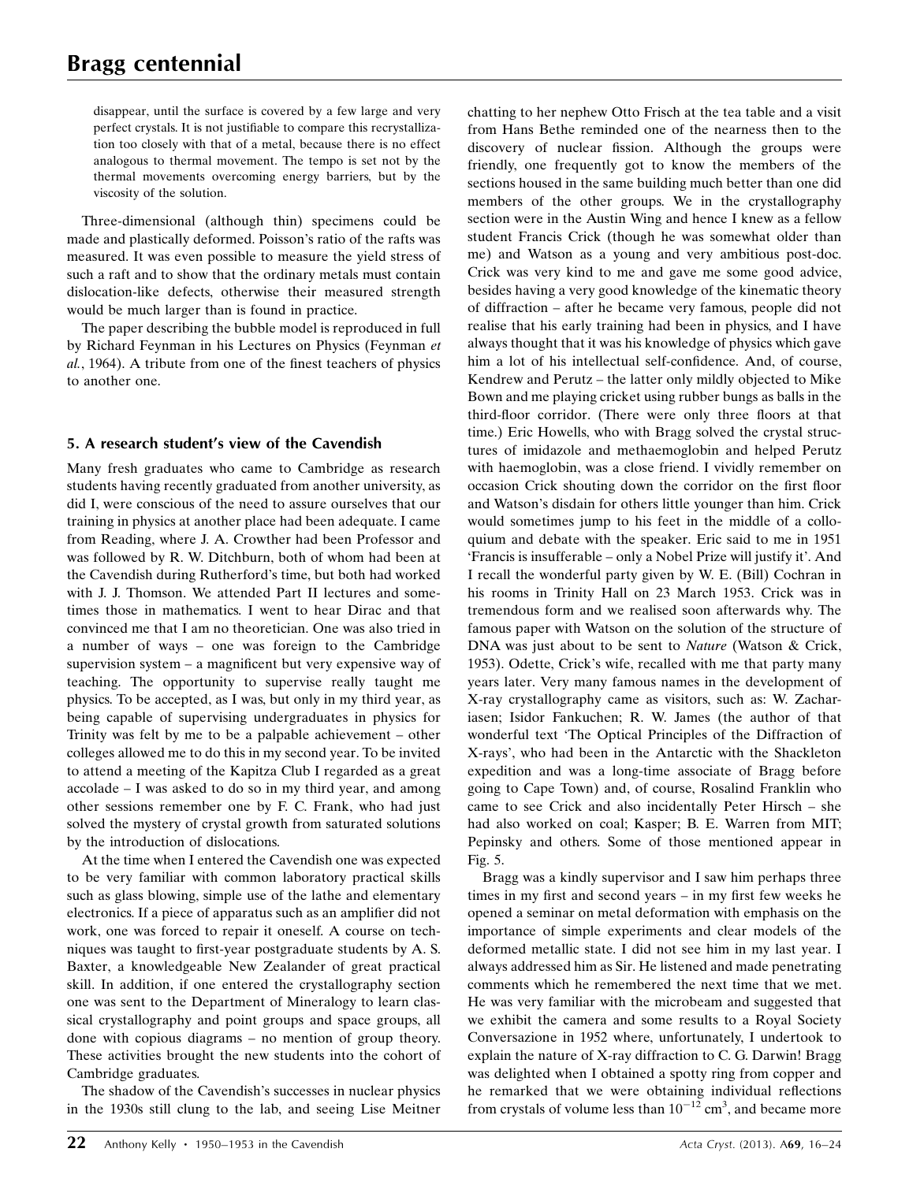disappear, until the surface is covered by a few large and very perfect crystals. It is not justifiable to compare this recrystallization too closely with that of a metal, because there is no effect analogous to thermal movement. The tempo is set not by the thermal movements overcoming energy barriers, but by the viscosity of the solution.

Three-dimensional (although thin) specimens could be made and plastically deformed. Poisson's ratio of the rafts was measured. It was even possible to measure the yield stress of such a raft and to show that the ordinary metals must contain dislocation-like defects, otherwise their measured strength would be much larger than is found in practice.

The paper describing the bubble model is reproduced in full by Richard Feynman in his Lectures on Physics (Feynman et al., 1964). A tribute from one of the finest teachers of physics to another one.

# 5. A research student's view of the Cavendish

Many fresh graduates who came to Cambridge as research students having recently graduated from another university, as did I, were conscious of the need to assure ourselves that our training in physics at another place had been adequate. I came from Reading, where J. A. Crowther had been Professor and was followed by R. W. Ditchburn, both of whom had been at the Cavendish during Rutherford's time, but both had worked with J. J. Thomson. We attended Part II lectures and sometimes those in mathematics. I went to hear Dirac and that convinced me that I am no theoretician. One was also tried in a number of ways – one was foreign to the Cambridge supervision system – a magnificent but very expensive way of teaching. The opportunity to supervise really taught me physics. To be accepted, as I was, but only in my third year, as being capable of supervising undergraduates in physics for Trinity was felt by me to be a palpable achievement – other colleges allowed me to do this in my second year. To be invited to attend a meeting of the Kapitza Club I regarded as a great accolade – I was asked to do so in my third year, and among other sessions remember one by F. C. Frank, who had just solved the mystery of crystal growth from saturated solutions by the introduction of dislocations.

At the time when I entered the Cavendish one was expected to be very familiar with common laboratory practical skills such as glass blowing, simple use of the lathe and elementary electronics. If a piece of apparatus such as an amplifier did not work, one was forced to repair it oneself. A course on techniques was taught to first-year postgraduate students by A. S. Baxter, a knowledgeable New Zealander of great practical skill. In addition, if one entered the crystallography section one was sent to the Department of Mineralogy to learn classical crystallography and point groups and space groups, all done with copious diagrams – no mention of group theory. These activities brought the new students into the cohort of Cambridge graduates.

The shadow of the Cavendish's successes in nuclear physics in the 1930s still clung to the lab, and seeing Lise Meitner

chatting to her nephew Otto Frisch at the tea table and a visit from Hans Bethe reminded one of the nearness then to the discovery of nuclear fission. Although the groups were friendly, one frequently got to know the members of the sections housed in the same building much better than one did members of the other groups. We in the crystallography section were in the Austin Wing and hence I knew as a fellow student Francis Crick (though he was somewhat older than me) and Watson as a young and very ambitious post-doc. Crick was very kind to me and gave me some good advice, besides having a very good knowledge of the kinematic theory of diffraction – after he became very famous, people did not realise that his early training had been in physics, and I have always thought that it was his knowledge of physics which gave him a lot of his intellectual self-confidence. And, of course, Kendrew and Perutz – the latter only mildly objected to Mike Bown and me playing cricket using rubber bungs as balls in the third-floor corridor. (There were only three floors at that time.) Eric Howells, who with Bragg solved the crystal structures of imidazole and methaemoglobin and helped Perutz with haemoglobin, was a close friend. I vividly remember on occasion Crick shouting down the corridor on the first floor and Watson's disdain for others little younger than him. Crick would sometimes jump to his feet in the middle of a colloquium and debate with the speaker. Eric said to me in 1951 'Francis is insufferable – only a Nobel Prize will justify it'. And I recall the wonderful party given by W. E. (Bill) Cochran in his rooms in Trinity Hall on 23 March 1953. Crick was in tremendous form and we realised soon afterwards why. The famous paper with Watson on the solution of the structure of DNA was just about to be sent to *Nature* (Watson & Crick, 1953). Odette, Crick's wife, recalled with me that party many years later. Very many famous names in the development of X-ray crystallography came as visitors, such as: W. Zachariasen; Isidor Fankuchen; R. W. James (the author of that wonderful text 'The Optical Principles of the Diffraction of X-rays', who had been in the Antarctic with the Shackleton expedition and was a long-time associate of Bragg before going to Cape Town) and, of course, Rosalind Franklin who came to see Crick and also incidentally Peter Hirsch – she had also worked on coal; Kasper; B. E. Warren from MIT; Pepinsky and others. Some of those mentioned appear in Fig. 5.

Bragg was a kindly supervisor and I saw him perhaps three times in my first and second years – in my first few weeks he opened a seminar on metal deformation with emphasis on the importance of simple experiments and clear models of the deformed metallic state. I did not see him in my last year. I always addressed him as Sir. He listened and made penetrating comments which he remembered the next time that we met. He was very familiar with the microbeam and suggested that we exhibit the camera and some results to a Royal Society Conversazione in 1952 where, unfortunately, I undertook to explain the nature of X-ray diffraction to C. G. Darwin! Bragg was delighted when I obtained a spotty ring from copper and he remarked that we were obtaining individual reflections from crystals of volume less than  $10^{-12}$  cm<sup>3</sup>, and became more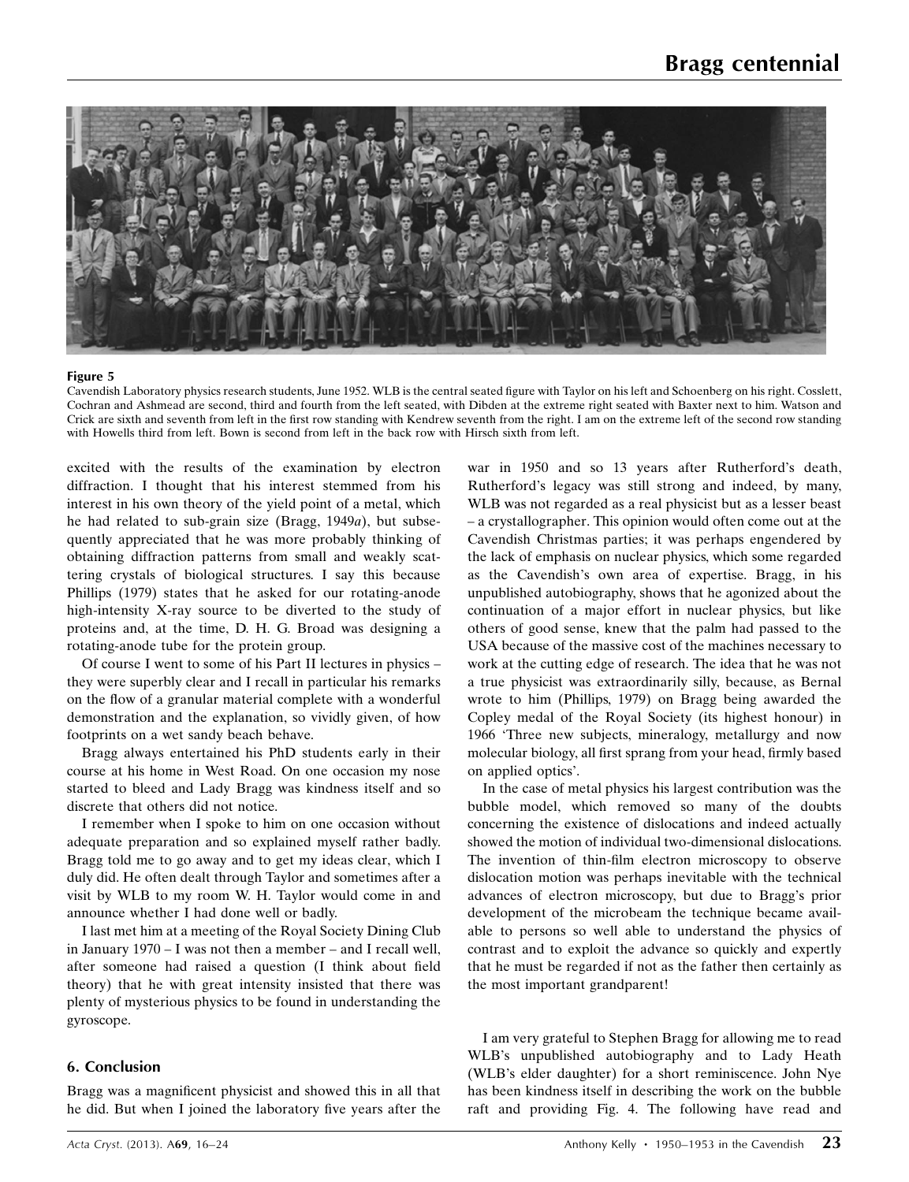

#### Figure 5

Cavendish Laboratory physics research students, June 1952. WLB is the central seated figure with Taylor on his left and Schoenberg on his right. Cosslett, Cochran and Ashmead are second, third and fourth from the left seated, with Dibden at the extreme right seated with Baxter next to him. Watson and Crick are sixth and seventh from left in the first row standing with Kendrew seventh from the right. I am on the extreme left of the second row standing with Howells third from left. Bown is second from left in the back row with Hirsch sixth from left.

excited with the results of the examination by electron diffraction. I thought that his interest stemmed from his interest in his own theory of the yield point of a metal, which he had related to sub-grain size (Bragg, 1949a), but subsequently appreciated that he was more probably thinking of obtaining diffraction patterns from small and weakly scattering crystals of biological structures. I say this because Phillips (1979) states that he asked for our rotating-anode high-intensity X-ray source to be diverted to the study of proteins and, at the time, D. H. G. Broad was designing a rotating-anode tube for the protein group.

Of course I went to some of his Part II lectures in physics – they were superbly clear and I recall in particular his remarks on the flow of a granular material complete with a wonderful demonstration and the explanation, so vividly given, of how footprints on a wet sandy beach behave.

Bragg always entertained his PhD students early in their course at his home in West Road. On one occasion my nose started to bleed and Lady Bragg was kindness itself and so discrete that others did not notice.

I remember when I spoke to him on one occasion without adequate preparation and so explained myself rather badly. Bragg told me to go away and to get my ideas clear, which I duly did. He often dealt through Taylor and sometimes after a visit by WLB to my room W. H. Taylor would come in and announce whether I had done well or badly.

I last met him at a meeting of the Royal Society Dining Club in January 1970 – I was not then a member – and I recall well, after someone had raised a question (I think about field theory) that he with great intensity insisted that there was plenty of mysterious physics to be found in understanding the gyroscope.

## 6. Conclusion

Bragg was a magnificent physicist and showed this in all that he did. But when I joined the laboratory five years after the war in 1950 and so 13 years after Rutherford's death, Rutherford's legacy was still strong and indeed, by many, WLB was not regarded as a real physicist but as a lesser beast – a crystallographer. This opinion would often come out at the Cavendish Christmas parties; it was perhaps engendered by the lack of emphasis on nuclear physics, which some regarded as the Cavendish's own area of expertise. Bragg, in his unpublished autobiography, shows that he agonized about the continuation of a major effort in nuclear physics, but like others of good sense, knew that the palm had passed to the USA because of the massive cost of the machines necessary to work at the cutting edge of research. The idea that he was not a true physicist was extraordinarily silly, because, as Bernal wrote to him (Phillips, 1979) on Bragg being awarded the Copley medal of the Royal Society (its highest honour) in 1966 'Three new subjects, mineralogy, metallurgy and now molecular biology, all first sprang from your head, firmly based on applied optics'.

In the case of metal physics his largest contribution was the bubble model, which removed so many of the doubts concerning the existence of dislocations and indeed actually showed the motion of individual two-dimensional dislocations. The invention of thin-film electron microscopy to observe dislocation motion was perhaps inevitable with the technical advances of electron microscopy, but due to Bragg's prior development of the microbeam the technique became available to persons so well able to understand the physics of contrast and to exploit the advance so quickly and expertly that he must be regarded if not as the father then certainly as the most important grandparent!

I am very grateful to Stephen Bragg for allowing me to read WLB's unpublished autobiography and to Lady Heath (WLB's elder daughter) for a short reminiscence. John Nye has been kindness itself in describing the work on the bubble raft and providing Fig. 4. The following have read and